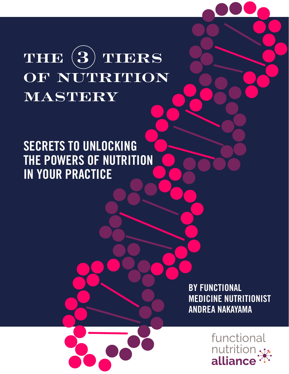# **the 3 tiers OF NUTRITION mastery**

### SECRETS TO UNLOCKING THE POWERS OF NUTRITION IN YOUR PRACTICE

**BY FUNCTIONAL** MEDICINE NUTRITIONIST ANDREA NAKAYAMA

> functional nutritior alliance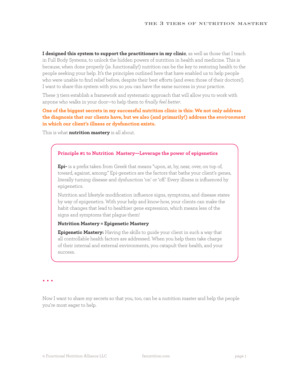**I designed this system to support the practitioners in my clinic**, as well as those that I teach in Full Body Systems, to unlock the hidden powers of nutrition in health and medicine. This is because, when done properly (ie. functionally!) nutrition can be the key to restoring health to the people seeking your help. It's the principles outlined here that have enabled us to help people who were unable to find relief before, despite their best efforts (and even those of their doctors!). I want to share this system with you so *you* can have the same success in your practice.

These 3 tiers establish a framework and systematic approach that will allow you to work with anyone who walks in your door—to help them to *finally feel better*.

#### **One of the biggest secrets in my successful nutrition clinic is this: We not only address the diagnosis that our clients have, but we also (and primarily!) address the** *environment* **in which our client's illness or dysfunction exists.**

This is what **nutrition mastery** is all about.

#### **Principle #1 to Nutrition Mastery—Leverage the power of epigenetics**

**Epi-** is a prefix taken from Greek that means "upon, at, by, near, over, on top of, toward, against, among." Epi-genetics are the factors that bathe your client's genes, literally turning disease and dysfunction 'on' or 'off.' Every illness is influenced by epigenetics.

Nutrition and lifestyle modification influence signs, symptoms, and disease states by way of epigenetics. With your help and know-how, your clients can make the habit changes that lead to healthier gene expression, which means less of the signs and symptoms that plague them!

#### **Nutrition Mastery = Epigenetic Mastery**

**Epigenetic Mastery:** Having the skills to guide your client in such a way that all controllable health factors are addressed. When you help them take charge of their internal and external environments, you catapult their health, and your success.

• • •

Now I want to share my secrets so that you, too, can be a nutrition master and help the people you're most eager to help.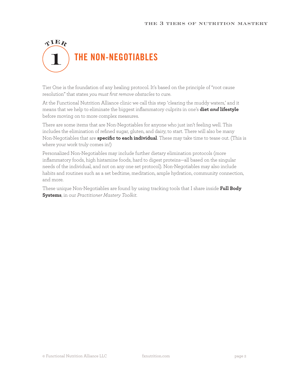## $\mathbf{A}\mathbf{H}\mathbf{Y}$ THE NON-NEGOTIABLES

Tier One is the foundation of any healing protocol. It's based on the principle of "root cause resolution" that states *you must first remove obstacles* to cure.

At the Functional Nutrition Alliance clinic we call this step 'clearing the muddy waters,' and it means that we help to eliminate the biggest inflammatory culprits in one's **diet** *and* **lifestyle** before moving on to more complex measures.

There are some items that are Non-Negotiables for anyone who just isn't feeling well. This includes the elimination of refined sugar, gluten, and dairy, to start. There will also be many Non-Negotiables that are **specific to each individual**. These may take time to tease out. (This is where your work truly comes in!)

Personalized Non-Negotiables may include further dietary elimination protocols (more inflammatory foods, high histamine foods, hard to digest proteins—all based on the singular needs of the individual, and not on any one set protocol). Non-Negotiables may also include habits and routines such as a set bedtime, meditation, ample hydration, community connection, and more.

These unique Non-Negotiables are found by using tracking tools that I share inside **[Full Body](https://www.fxnutrition.com/programs/full-body-systems/)  [Systems](https://www.fxnutrition.com/programs/full-body-systems/)**, in our *Practitioner Mastery Toolkit*.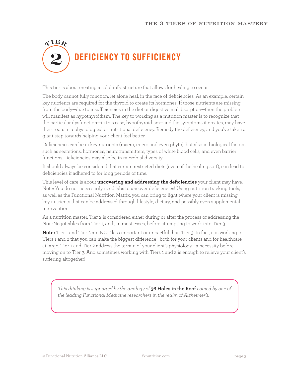### $\mathbf{\Lambda} \mathbf{H} \mathbf{\Lambda}$ DEFICIENCY TO SUFFICIENCY

This tier is about creating a solid infrastructure that allows for healing to occur.

The body cannot fully function, let alone heal, in the face of deficiencies. As an example, certain key nutrients are required for the thyroid to create its hormones. If those nutrients are missing from the body—due to insufficiencies in the diet or digestive malabsorption—then the problem will manifest as hypothyroidism. The key to working as a nutrition master is to recognize that the particular dysfunction—in this case, hypothyroidism—and the symptoms it creates, may have their roots in a physiological or nutritional deficiency. Remedy the deficiency, and you've taken a giant step towards helping your client feel better.

Deficiencies can be in key nutrients (macro, micro and even phyto), but also in biological factors such as secretions, hormones, neurotransmitters, types of white blood cells, and even barrier functions. Deficiencies may also be in microbial diversity.

It should always be considered that certain restricted diets (even of the healing sort), can lead to deficiencies if adhered to for long periods of time.

This level of care is about **uncovering and addressing the deficiencies** your client may have. Note: You do not necessarily need labs to uncover deficiencies! Using nutrition tracking tools, as well as the Functional Nutrition Matrix, you can bring to light where your client is missing key nutrients that can be addressed through lifestyle, dietary, and possibly even supplemental intervention.

As a nutrition master, Tier 2 is considered either during or after the process of addressing the Non-Negotiables from Tier 1, and , in most cases, before attempting to work into Tier 3.

**Note:** Tier 1 and Tier 2 are NOT less important or impactful than Tier 3. In fact, it is working in Tiers 1 and 2 that you can make the biggest difference—both for your clients and for healthcare at large. Tier 1 and Tier 2 address the terrain of your client's physiology—a necessity before moving on to Tier 3. And sometimes working with Tiers 1 and 2 is enough to relieve your client's suffering altogether!

*This thinking is supported by the analogy of* **[36 Holes in the Roof](https://www.fxnutrition.com/popular/36-holes-in-the-roof/)** *coined by one of the leading Functional Medicine researchers in the realm of Alzheimer's.*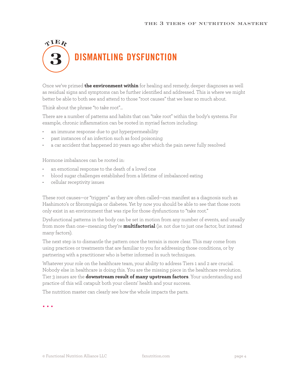### $\mathbf{\Lambda} \mathbf{H} \mathbf{\Lambda}$ DISMANTLING DYSFUNCTION

Once we've primed **the environment within** for healing and remedy, deeper diagnoses as well as residual signs and symptoms can be further identified and addressed. This is where we might better be able to both see and attend to those "root causes" that we hear so much about.

Think about the phrase "to take root"...

There are a number of patterns and habits that can "take root" within the body's systems. For example, chronic inflammation can be rooted in myriad factors including:

- an immune response due to gut hyperpermeability
- past instances of an infection such as food poisoning
- a car accident that happened 20 years ago after which the pain never fully resolved

Hormone imbalances can be rooted in:

- an emotional response to the death of a loved one
- blood sugar challenges established from a lifetime of imbalanced eating
- cellular receptivity issues

These root causes—or "triggers" as they are often called—can manifest as a diagnosis such as Hashimoto's or fibromyalgia or diabetes. Yet by now you should be able to see that those roots only exist in an environment that was ripe for those dysfunctions to "take root."

Dysfunctional patterns in the body can be set in motion from any number of events, and usually from more than one—meaning they're **multifactorial** (ie. not due to just one factor, but instead many factors).

The next step is to dismantle the pattern once the terrain is more clear. This may come from using practices or treatments that are familiar to you for addressing those conditions, or by partnering with a practitioner who is better informed in such techniques.

Whatever your role on the healthcare team, your ability to address Tiers 1 and 2 are crucial. Nobody else in healthcare is doing this. You are the missing piece in the healthcare revolution. Tier 3 issues are the **downstream result of many upstream factors**. Your understanding and practice of this will catapult both your clients' health and your success.

The nutrition master can clearly see how the whole impacts the parts.

• • •